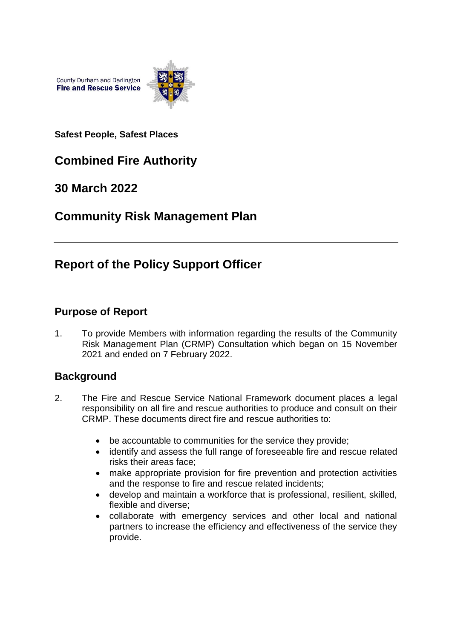

**Safest People, Safest Places**

# **Combined Fire Authority**

# **30 March 2022**

# **Community Risk Management Plan**

# **Report of the Policy Support Officer**

## **Purpose of Report**

1. To provide Members with information regarding the results of the Community Risk Management Plan (CRMP) Consultation which began on 15 November 2021 and ended on 7 February 2022.

## **Background**

- 2. The Fire and Rescue Service National Framework document places a legal responsibility on all fire and rescue authorities to produce and consult on their CRMP. These documents direct fire and rescue authorities to:
	- be accountable to communities for the service they provide;
	- identify and assess the full range of foreseeable fire and rescue related risks their areas face;
	- make appropriate provision for fire prevention and protection activities and the response to fire and rescue related incidents;
	- develop and maintain a workforce that is professional, resilient, skilled, flexible and diverse;
	- collaborate with emergency services and other local and national partners to increase the efficiency and effectiveness of the service they provide.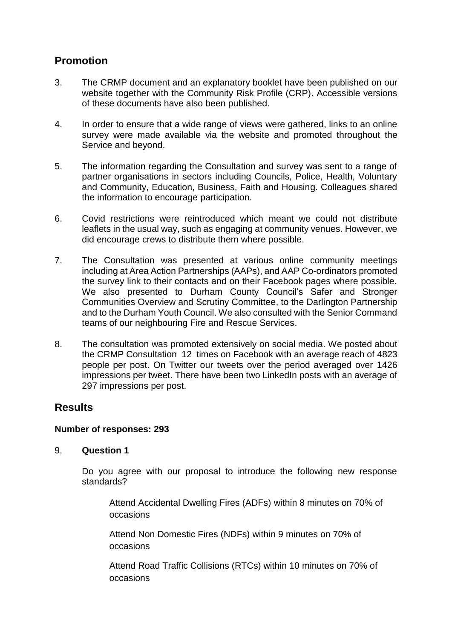# **Promotion**

- 3. The CRMP document and an explanatory booklet have been published on our website together with the Community Risk Profile (CRP). Accessible versions of these documents have also been published.
- 4. In order to ensure that a wide range of views were gathered, links to an online survey were made available via the website and promoted throughout the Service and beyond.
- 5. The information regarding the Consultation and survey was sent to a range of partner organisations in sectors including Councils, Police, Health, Voluntary and Community, Education, Business, Faith and Housing. Colleagues shared the information to encourage participation.
- 6. Covid restrictions were reintroduced which meant we could not distribute leaflets in the usual way, such as engaging at community venues. However, we did encourage crews to distribute them where possible.
- 7. The Consultation was presented at various online community meetings including at Area Action Partnerships (AAPs), and AAP Co-ordinators promoted the survey link to their contacts and on their Facebook pages where possible. We also presented to Durham County Council's Safer and Stronger Communities Overview and Scrutiny Committee, to the Darlington Partnership and to the Durham Youth Council. We also consulted with the Senior Command teams of our neighbouring Fire and Rescue Services.
- 8. The consultation was promoted extensively on social media. We posted about the CRMP Consultation 12 times on Facebook with an average reach of 4823 people per post. On Twitter our tweets over the period averaged over 1426 impressions per tweet. There have been two LinkedIn posts with an average of 297 impressions per post.

# **Results**

### **Number of responses: 293**

### 9. **Question 1**

Do you agree with our proposal to introduce the following new response standards?

Attend Accidental Dwelling Fires (ADFs) within 8 minutes on 70% of occasions

Attend Non Domestic Fires (NDFs) within 9 minutes on 70% of occasions

Attend Road Traffic Collisions (RTCs) within 10 minutes on 70% of occasions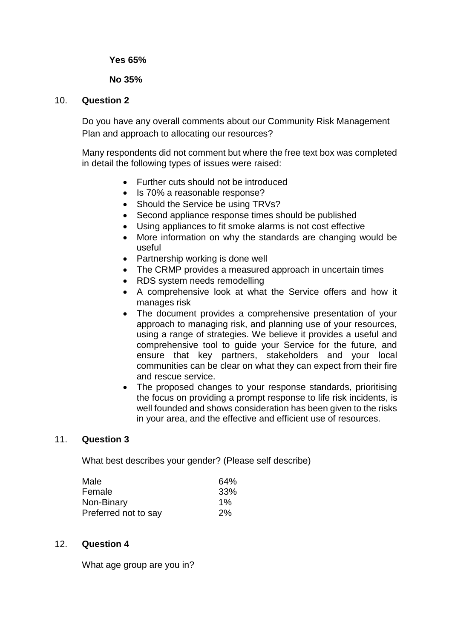**Yes 65%**

#### **No 35%**

#### 10. **Question 2**

Do you have any overall comments about our Community Risk Management Plan and approach to allocating our resources?

Many respondents did not comment but where the free text box was completed in detail the following types of issues were raised:

- Further cuts should not be introduced
- Is 70% a reasonable response?
- Should the Service be using TRVs?
- Second appliance response times should be published
- Using appliances to fit smoke alarms is not cost effective
- More information on why the standards are changing would be useful
- Partnership working is done well
- The CRMP provides a measured approach in uncertain times
- RDS system needs remodelling
- A comprehensive look at what the Service offers and how it manages risk
- The document provides a comprehensive presentation of your approach to managing risk, and planning use of your resources, using a range of strategies. We believe it provides a useful and comprehensive tool to guide your Service for the future, and ensure that key partners, stakeholders and your local communities can be clear on what they can expect from their fire and rescue service.
- The proposed changes to your response standards, prioritising the focus on providing a prompt response to life risk incidents, is well founded and shows consideration has been given to the risks in your area, and the effective and efficient use of resources.

#### 11. **Question 3**

What best describes your gender? (Please self describe)

| Male                 | 64%   |
|----------------------|-------|
| Female               | 33%   |
| Non-Binary           | $1\%$ |
| Preferred not to say | 2%    |

#### 12. **Question 4**

What age group are you in?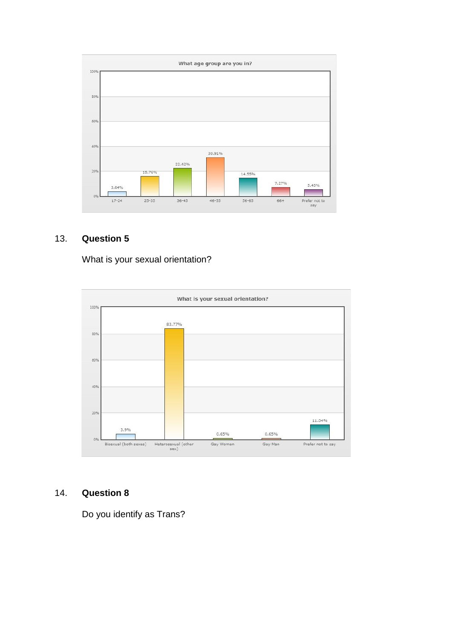

# 13. **Question 5**

What is your sexual orientation?



#### 14. **Question 8**

Do you identify as Trans?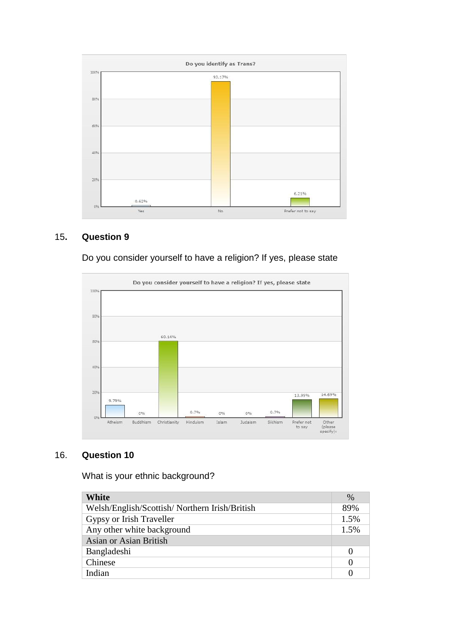

## 15**. Question 9**

Do you consider yourself to have a religion? If yes, please state



## 16. **Question 10**

What is your ethnic background?

| White                                         | $\%$     |
|-----------------------------------------------|----------|
| Welsh/English/Scottish/Northern Irish/British | 89%      |
| Gypsy or Irish Traveller                      | 1.5%     |
| Any other white background                    | 1.5%     |
| Asian or Asian British                        |          |
| Bangladeshi                                   | $\theta$ |
| Chinese                                       | $\theta$ |
| Indian                                        |          |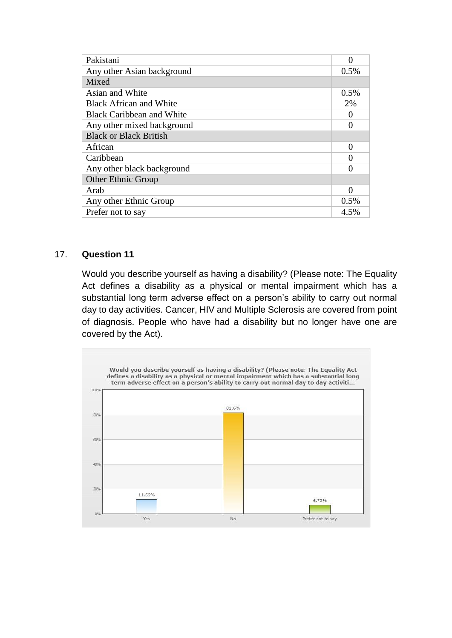| Pakistani                        |          |
|----------------------------------|----------|
| Any other Asian background       | $0.5\%$  |
| Mixed                            |          |
| Asian and White                  | $0.5\%$  |
| <b>Black African and White</b>   | 2%       |
| <b>Black Caribbean and White</b> | $\theta$ |
| Any other mixed background       | 0        |
| <b>Black or Black British</b>    |          |
| African                          | 0        |
| Caribbean                        | 0        |
| Any other black background       | 0        |
| <b>Other Ethnic Group</b>        |          |
| Arab                             | 0        |
| Any other Ethnic Group           | 0.5%     |
| Prefer not to say                | 4.5%     |

#### 17. **Question 11**

Would you describe yourself as having a disability? (Please note: The Equality Act defines a disability as a physical or mental impairment which has a substantial long term adverse effect on a person's ability to carry out normal day to day activities. Cancer, HIV and Multiple Sclerosis are covered from point of diagnosis. People who have had a disability but no longer have one are covered by the Act).